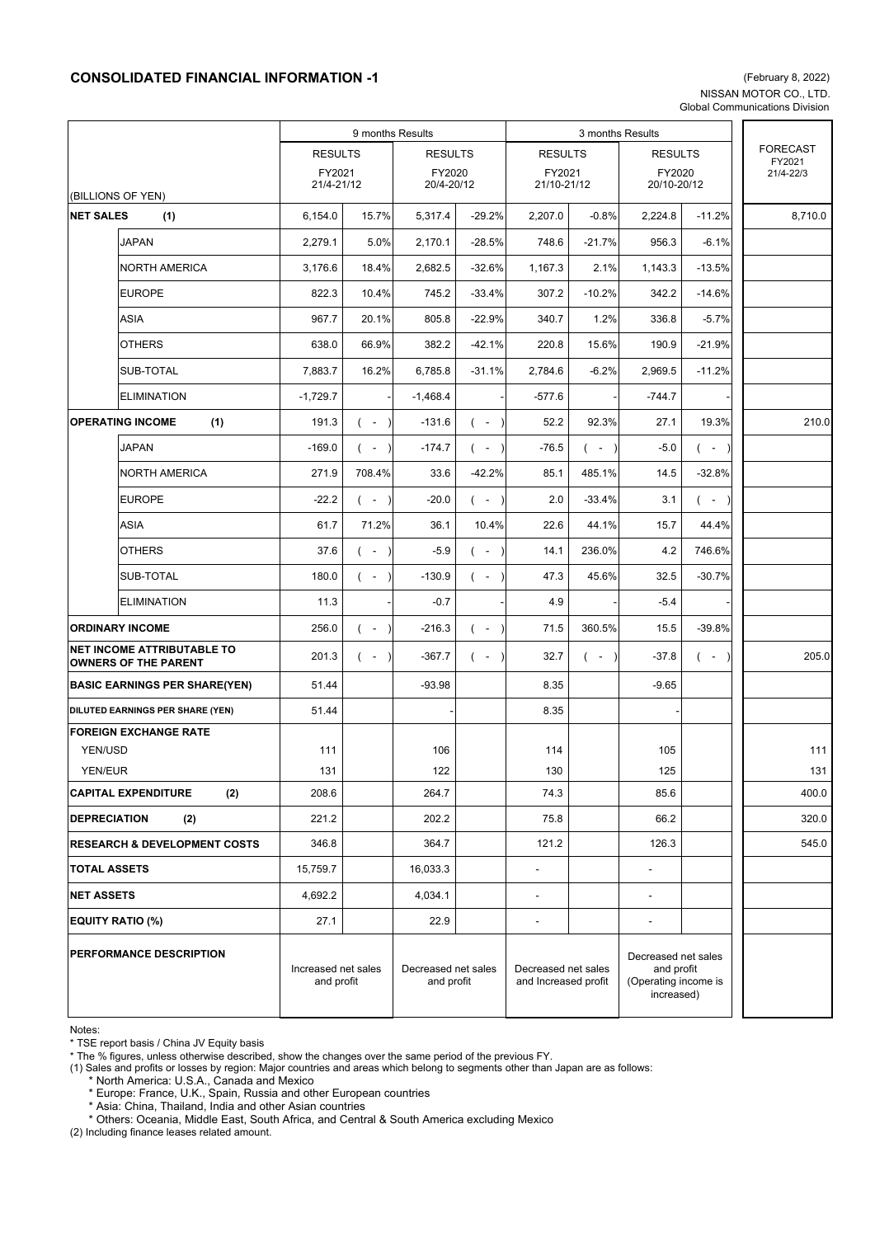## **CONSOLIDATED FINANCIAL INFORMATION -1** (February 8, 2022)

NISSAN MOTOR CO., LTD. Global Communications Division

|                                                                  |                                   | 9 months Results                  |                    |                                   |                    | 3 months Results                            |                    |                                                                         |                    |  |                                        |
|------------------------------------------------------------------|-----------------------------------|-----------------------------------|--------------------|-----------------------------------|--------------------|---------------------------------------------|--------------------|-------------------------------------------------------------------------|--------------------|--|----------------------------------------|
|                                                                  |                                   | <b>RESULTS</b>                    |                    | <b>RESULTS</b>                    |                    | <b>RESULTS</b>                              |                    | <b>RESULTS</b>                                                          |                    |  | <b>FORECAST</b><br>FY2021<br>21/4-22/3 |
| (BILLIONS OF YEN)                                                |                                   | FY2021<br>21/4-21/12              |                    | FY2020<br>20/4-20/12              |                    | FY2021<br>21/10-21/12                       |                    | FY2020<br>20/10-20/12                                                   |                    |  |                                        |
| <b>NET SALES</b><br>(1)                                          |                                   | 6,154.0                           | 15.7%              | 5,317.4                           | $-29.2%$           | 2,207.0                                     | $-0.8%$            | 2,224.8                                                                 | $-11.2%$           |  | 8,710.0                                |
|                                                                  | <b>JAPAN</b>                      | 2,279.1                           | 5.0%               | 2,170.1                           | $-28.5%$           | 748.6                                       | $-21.7%$           | 956.3                                                                   | $-6.1%$            |  |                                        |
|                                                                  | <b>NORTH AMERICA</b>              | 3,176.6                           | 18.4%              | 2,682.5                           | $-32.6%$           | 1,167.3                                     | 2.1%               | 1,143.3                                                                 | $-13.5%$           |  |                                        |
|                                                                  | <b>EUROPE</b>                     | 822.3                             | 10.4%              | 745.2                             | $-33.4%$           | 307.2                                       | $-10.2%$           | 342.2                                                                   | $-14.6%$           |  |                                        |
|                                                                  | ASIA                              | 967.7                             | 20.1%              | 805.8                             | $-22.9%$           | 340.7                                       | 1.2%               | 336.8                                                                   | $-5.7%$            |  |                                        |
|                                                                  | <b>OTHERS</b>                     | 638.0                             | 66.9%              | 382.2                             | $-42.1%$           | 220.8                                       | 15.6%              | 190.9                                                                   | $-21.9%$           |  |                                        |
|                                                                  | SUB-TOTAL                         | 7,883.7                           | 16.2%              | 6,785.8                           | $-31.1%$           | 2,784.6                                     | $-6.2%$            | 2,969.5                                                                 | $-11.2%$           |  |                                        |
|                                                                  | <b>ELIMINATION</b>                | $-1,729.7$                        |                    | $-1,468.4$                        |                    | $-577.6$                                    |                    | $-744.7$                                                                |                    |  |                                        |
| <b>OPERATING INCOME</b><br>(1)                                   |                                   | 191.3                             | $($ -<br>$\lambda$ | $-131.6$                          | $($ -<br>$\lambda$ | 52.2                                        | 92.3%              | 27.1                                                                    | 19.3%              |  | 210.0                                  |
|                                                                  | <b>JAPAN</b>                      | $-169.0$                          | ( –                | $-174.7$                          | $($ -              | $-76.5$                                     | $(-)$              | $-5.0$                                                                  | $(-)$              |  |                                        |
|                                                                  | <b>NORTH AMERICA</b>              | 271.9                             | 708.4%             | 33.6                              | $-42.2%$           | 85.1                                        | 485.1%             | 14.5                                                                    | $-32.8%$           |  |                                        |
|                                                                  | <b>EUROPE</b>                     | $-22.2$                           | $($ -<br>$\lambda$ | $-20.0$                           | $($ -              | 2.0                                         | $-33.4%$           | 3.1                                                                     | $(-)$              |  |                                        |
|                                                                  | <b>ASIA</b>                       | 61.7                              | 71.2%              | 36.1                              | 10.4%              | 22.6                                        | 44.1%              | 15.7                                                                    | 44.4%              |  |                                        |
|                                                                  | <b>OTHERS</b>                     | 37.6                              | $($ -<br>$\lambda$ | $-5.9$                            | $($ -              | 14.1                                        | 236.0%             | 4.2                                                                     | 746.6%             |  |                                        |
|                                                                  | SUB-TOTAL                         | 180.0                             | $($ -<br>$\lambda$ | $-130.9$                          | $($ -              | 47.3                                        | 45.6%              | 32.5                                                                    | $-30.7%$           |  |                                        |
|                                                                  | <b>ELIMINATION</b>                | 11.3                              |                    | $-0.7$                            |                    | 4.9                                         |                    | $-5.4$                                                                  |                    |  |                                        |
| <b>ORDINARY INCOME</b>                                           |                                   | 256.0                             | $($ -<br>$\lambda$ | $-216.3$                          | $($ -              | 71.5                                        | 360.5%             | 15.5                                                                    | -39.8%             |  |                                        |
| <b>NET INCOME ATTRIBUTABLE TO</b><br><b>OWNERS OF THE PARENT</b> |                                   | 201.3                             | $($ -<br>$\lambda$ | $-367.7$                          | $($ -              | 32.7                                        | $($ -<br>$\lambda$ | $-37.8$                                                                 | $($ -<br>$\lambda$ |  | 205.0                                  |
| <b>BASIC EARNINGS PER SHARE(YEN)</b>                             |                                   | 51.44                             |                    | $-93.98$                          |                    | 8.35                                        |                    | $-9.65$                                                                 |                    |  |                                        |
|                                                                  | DILUTED EARNINGS PER SHARE (YEN)  | 51.44                             |                    |                                   |                    | 8.35                                        |                    |                                                                         |                    |  |                                        |
|                                                                  | <b>FOREIGN EXCHANGE RATE</b>      |                                   |                    |                                   |                    |                                             |                    |                                                                         |                    |  |                                        |
| YEN/USD<br>YEN/EUR                                               |                                   | 111<br>131                        |                    | 106<br>122                        |                    | 114<br>130                                  |                    | 105<br>125                                                              |                    |  | 111<br>131                             |
|                                                                  | <b>CAPITAL EXPENDITURE</b><br>(2) | 208.6                             |                    | 264.7                             |                    | 74.3                                        |                    | 85.6                                                                    |                    |  | 400.0                                  |
| <b>DEPRECIATION</b>                                              | (2)                               | 221.2                             |                    | 202.2                             |                    | 75.8                                        |                    | 66.2                                                                    |                    |  | 320.0                                  |
| <b>RESEARCH &amp; DEVELOPMENT COSTS</b>                          |                                   | 346.8                             |                    | 364.7                             |                    | 121.2                                       |                    | 126.3                                                                   |                    |  | 545.0                                  |
| <b>TOTAL ASSETS</b>                                              |                                   | 15,759.7                          |                    | 16,033.3                          |                    | ÷,                                          |                    |                                                                         |                    |  |                                        |
| <b>NET ASSETS</b>                                                |                                   | 4,692.2                           |                    | 4,034.1                           |                    | $\overline{\phantom{0}}$                    |                    | $\overline{\phantom{a}}$                                                |                    |  |                                        |
| <b>EQUITY RATIO (%)</b>                                          |                                   | 27.1                              |                    | 22.9                              |                    | $\overline{\phantom{0}}$                    |                    | $\blacksquare$                                                          |                    |  |                                        |
| PERFORMANCE DESCRIPTION                                          |                                   | Increased net sales<br>and profit |                    | Decreased net sales<br>and profit |                    | Decreased net sales<br>and Increased profit |                    | Decreased net sales<br>and profit<br>(Operating income is<br>increased) |                    |  |                                        |

Notes:

\* TSE report basis / China JV Equity basis

(1) Sales and profits or losses by region: Major countries and areas which belong to segments other than Japan are as follows:

\* North America: U.S.A., Canada and Mexico

\* Europe: France, U.K., Spain, Russia and other European countries

\* Asia: China, Thailand, India and other Asian countries

\* Others: Oceania, Middle East, South Africa, and Central & South America excluding Mexico

(2) Including finance leases related amount.

<sup>\*</sup> The % figures, unless otherwise described, show the changes over the same period of the previous FY.